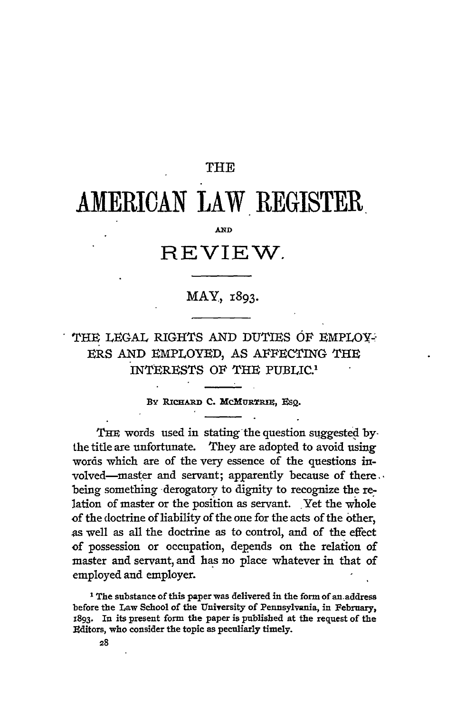## THE

# **AMERICAN** LAW REGISTER

**AND**

# **REVIEW.**

### MAY, **1893.**

**THE** LEGAL RIGHTS AND DUTIES **OF** EMPLOY-ERS **AND** EMPLOYED, **AS** AFRECTING THE INTERESTS **OF** THE PUBLIC.'

BY RICHARD C. MCMURTRIE, EsQ.

THE words used in stating the question suggested bythe title are unfortunate. They are adopted to avoid using words which are of the very essence of the questions involved-master and servant; apparently because of there. being something -derogatory to dignity to recognize the relation of master or the position as servant. Yet the whole of the doctrine of liability of the one for the acts of the other, as well as all the doctrine as to control, and of the effect of possession or occupation, depends on the relation of master and servant, and has no place whatever in that of employed and employer.

**I The** substance of this paper was delivered in the form of an.address before the Law School of the University of Pennsylvania, in February, **x893.** In its present form the paper is published at the request of the Editors, who consider the topic as peculiarly timely.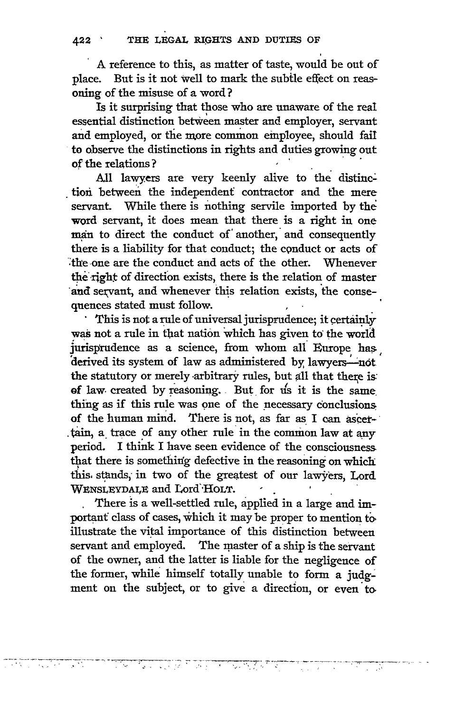A reference to this, as matter of taste, would be out of place. But is it not well to mark the subtle effect on reasoning of the misuse of a word?

Is it surprising that those who are unaware of the real essential distinction between master and employer, servant and employed, or the more common employee, should fail to observe the distinctions in rights and duties growing out of the relations?

All lawyers are very keenly alive to the distinction between the independent contractor and the mere servant. While there is nothing servile imported **by** the word servant, it does mean that there is a right in one man to direct the conduct of another, and consequently there is a liability for that conduct; the conduct or acts of the one are the conduct and acts of the other. Whenever the right of direction exists, there is the relation of master and servant, and whenever this relation exists, the consequences stated must follow.

This is not a rule of universal jurisprudence; it certainly was not a rule in that nation which has given to the world jurisprudence as a science, from whom all Europe has, derived its system of law as administered by lawyers--not the statutory or merely arbitrary rules, but all that there is: **of** law. created by reasoning.. But for **us** it is the same thing as if this rule was one of the necessary conclusions of the human mind. There is not, as far as I **can** ascer tain, a trace of any other rule in the common law at any period. I think I have seen evidence of the consciousness **that** there is somethig defective in the reasoning on which this stands, in two of the greatest of our lawyers, Lord WENSLEYDALE and Lord HOLT.

There is a well-settled rule, applied in a large and important class of cases, which it may be proper to mention to illustrate the vital importance of this distinction between servant and employed. The master of a ship is the servant of the owner, and the latter is liable for the negligence of the former, while himself totally unable to form a judgment on the subject, or to give a direction, or even to

ਕਿਸ ਵੱਲੋਂ 2 ਮਿਲ ਦਾ ਕਾਲ ਨੂੰ ਬਾਣ

੍ਰਿਹਾ ਕ

a sin

 $\sim 10^{11}$ 

-178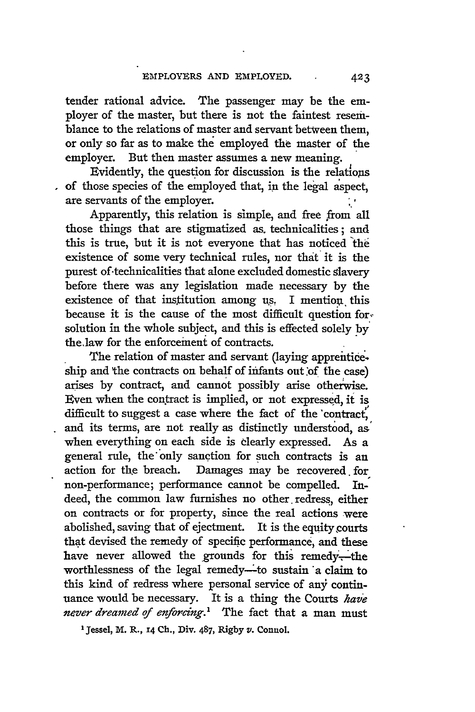tender rational advice. The passenger may be the employer of the master, but there is not the faintest resemblance to the relations of master and servant between them, or only so far as to make the employed the master of the employer. But then master assumes a new meaning.

Evidently, the question for discussion is the relations of those species of the employed that, in the legal aspect, are servants of the employer.

Apparently, this relation is simple, and free from all those things that are stigmatized as. technicalities; and this is true, but it is not everyone that has noticed 'the existence of some very technical rules, nor that it is the purest of-technicalities that alone excluded domestic slavery before there was any legislation made necessary by the existence of that institution among us. I mention this because it is the cause of the most difficult question *for,* solution in the whole subject, and this is effected solely by the law for the enforcement of contracts.

The relation of master and servant (laying apprenticeship and the contracts on behalf of infants out of the case) arises **by** contract, and cannot possibly arise otherwise. Even when the contract is implied, or not expressed, it is difficult to suggest a case where the fact of the 'contract', and its terms, are not really as distinctly understood, as' when everything on each side is clearly expressed. As a general rule, the only sanction for such contracts is an action for the breach. Damages may be recovered, for non-performance; performance cannot be compelled. Indeed, the common law furnishes no other redress, either on contracts or for property, since the real actions were abolished, saving that of ejectment. It is the equity courts that devised the remedy of specific performance, and these have never allowed the grounds for this remedy-the worthlessness of the legal remedy-to sustain a claim to this kind of redress where personal service of any continuance would be necessary. It is a thing the Courts *have never dreamed of enforcing,.'* The fact that a man must

**I** Jessel, **M. R., 14 Ch., Div. 487,** Rigby **v. Connol.**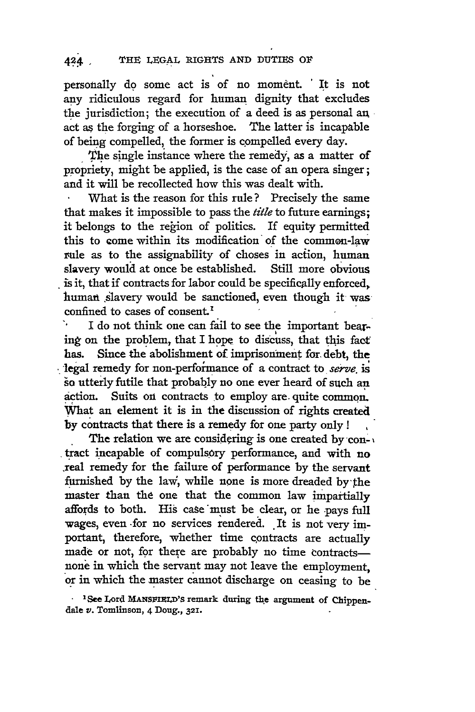#### **424. THE I.EGAL** RIGHTS **AND** DUTIES **OF**

personally do some act is of no momenL **'It** is not any ridiculous regard for human dignity that excludes the jurisdiction; the execution of a deed is as personal an act as the forging of a horseshoe. The latter **is** incapable of being compelled, the former is compelled every day.

**The** single instance where the remedy, as a matter of propriety, might be applied, is the case of an opera singer; and it will be recollected how this was dealt with.

What is the reason for this rule? Precisely the same that makes it impossible to pass the title to future earnings; it belongs to the region of politics. If equity permitted this to come within its modification **of** the common-law rule as to the assignability of choses in acion, human slavery would at once be established. Still more obvious is it, that if contracts for labor could be specificglly enforced, human slavery would be sanctioned, even though it wasconfined to cases of consent.'

I do not think one can fail to see the important bearing on the problem, that I hope to discuss, that this fact has. Since the abolishment of imprisonment for. debt, the legal remedy for non-performance of a contract to serve is io utterly futile that probably no one ever heard of such an action. Suits on contracts to employ are. quite common. What an element it is in the discussion of rights created by contracts that there is a remedy for one party only!

The relation we are considering is one created by contract incapable of compulsory performance, and with no ,real remedy for the failure of performance by the servant furnished by the law, while none is more dreaded by the master than the one that the common law impartially affords to both. His case must be clear, or he pays full wages, even for no services rendered. It is not very important, therefore, whether time contracts are actually made or not, for there are probably no time contractsnone in which the servant may not leave the employment, or in which the master cannot discharge on ceasing to be

<sup>1</sup> See Lord MANSFIELD'S remark during the argument of Chippendale v. Tomlinson, 4 Doug., **321.**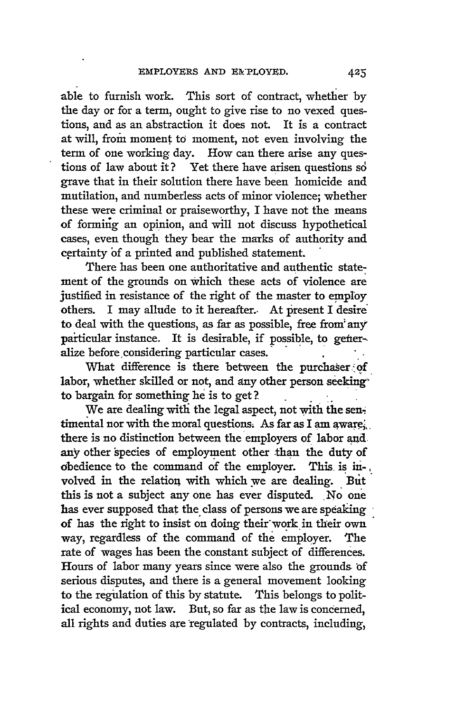able to furnish work. This sort of contract, whether **by** the day or for a term, ought to give rise to no vexed questions, and as an abstraction it does not. It is a contract at will, from moment to moment, not even involving the term of one working day. How can there arise any questions of law about it? Yet there have arisen questions sd grave that in their solution there have been homicide and mutilation, and numberless acts of minor violence; whether these were criminal or praiseworthy, I have not the means of forming an opinion, and will not discuss hypothetical cases, even though they bear the marks of authority and certainty **bf** a printed and published statement.

There has been one authoritative and authentic statement of the grounds on which these acts of violence are justified in resistance of the right of the master to employ others. I may allude to it hereafter. At present I desire to deal with the questions, as far as possible, free from any particular instance. It is desirable, if possible, to generalize before considering particular cases.

What difference is there between the purchaser of labor, whether skilled or not, and any other person seeking<sup>®</sup> to bargain for something he is to get?

We are dealing with the legal aspect, not with the sentimental nor with the moral questions. As far as I am aware, there is no distinction between the employers of labor and. any other species of employment other than the duty of obedience to the command of the employer. This is involved in the relation with which we are dealing. But this is not a subject any one has ever disputed. No one has ever supposed that the class of persons we are speaking of has the right to insist on doing their-work in their own way, regardless of the command of the employer. The rate of wages has been the constant subject of differences. Hours of labor many years since were also the grounds **bf** serious disputes, and there is a general movement looking to the regulation of this by statute. This belongs to political economy, not law. But, so far as the law is concerned, all rights and duties are regulated by contracts, including,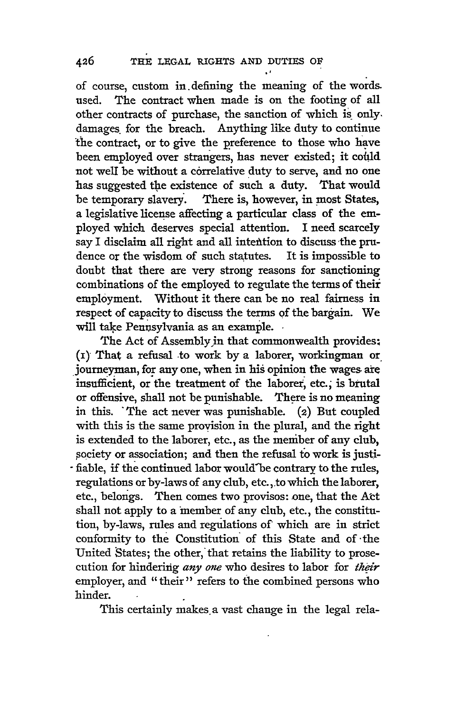of course, custom in. defining the meaning of the words. used. The contract when made is on the footing of all other contracts of purchase, the sanction of which is only. damages, for the breach. Anything like duty to continue the contract, or to give the preference to those who have been employed over strangers, has never existed; it could not well be without a correlative duty to serve, and no one has suggested the existence of such a duty. That would be temporary slavery. There is, however, in most States, a legislative license affecting a particular class of the employed which deserves special attention. I need scarcely say I disclaim all right and all intention to discuss the prudence or the wisdom of such statutes. It is impossible to doubt that there are very strong reasons for sanctioning combinations of the employed to regulate the terms of their employment. Without it there can be no real fairness in respect of capacity to discuss the terms of the bargain. We will take Pennsylvania as an example.

The Act of Assembly in that commonwealth provides: (I) That a refusal to work by a laborer, workingman or journeyman, for any one, when in his opinion the wages are insufficient, or the treatment of the laborer, etc.; is brutal or offensive, shall not be punishable. There is no meaning in this. 'The act never was punishable. (2) But coupled with this is the same provision in the plural, and the right is extended to the laborer, etc., as the meniber of any club, pociety or association; and then the refusal to work is justi- - fiable, if the continued labor would'be contrary to the rules, regulations or by-laws of any club, etc.,.to which the laborer, etc., belongs. Then comes two provisos: one, that the Act shall not apply to a member of any club, etc., the constitution, by-laws, rules and regulations of which are in strict conformity to the Constitution of this State and of -the United States; the other, that retains the liability to prosecution for hindering any one who desires to labor for *their* employer, and "their" refers to the combined persons who hinder.

This certainly makes a vast change in the legal rela-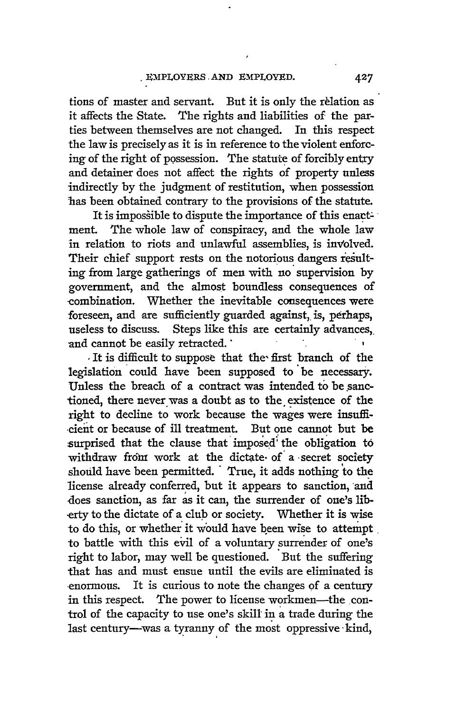tions of master and servant. But it is only the relation as it affects the State. The rights and liabilities of the parties between themselves are not changed. In this respect the law is precisely as it is in reference to the violent enforcing of the right of possession. The statute of forcibly entry and detainer does not affect the rights of property unless indirectly by the judgment of restitution, when possession has been obtained contrary to the provisions of the statute.

It is impossible to dispute the importance of this enactment. The whole law of conspiracy, and the whole law in relation to riots and unlawful assemblies, is inVolved. Their chief support rests on the notorious dangers resulting from large gatherings of men with no supervision by government, and the almost boundless consequences of -combination. Whether the inevitable consequences were foreseen, and are sufficiently guarded against, is, perhaps, useless to discuss. Steps like this are certainly advances, and cannot be easily retracted.'  $\mathbf{r}$ 

It is difficult to suppose that the' first branch of the legislation could have been supposed to be necessary. Unless the breach of a contract was intended to be sanctioned, there never was a doubt as to the existence of the right to decline to work because the wages were insufficient or because of ill treatment. But one cannot but be surprised that the clause that imposed the obligation to withdraw from work at the dictate of a secret society should have been permitted. **-** True, it adds nothing to the license already conferred, but it appears to sanction, and -does sanction, as far as it can, the surrender of one's liberty to the dictate of a club or society. Whether it is wise to do this, or whether it would have been wise to attempt to battle with this evil of a voluntary surrender of one's right to labor, may well be questioned. But the suffering that has and must ensue until the evils are eliminated is enormous. It is curious to note the changes of a century in this respect. The power to license workmen—the control of the capacity to use one's skill in a trade during the last century--was a tyranny of the most oppressive kind,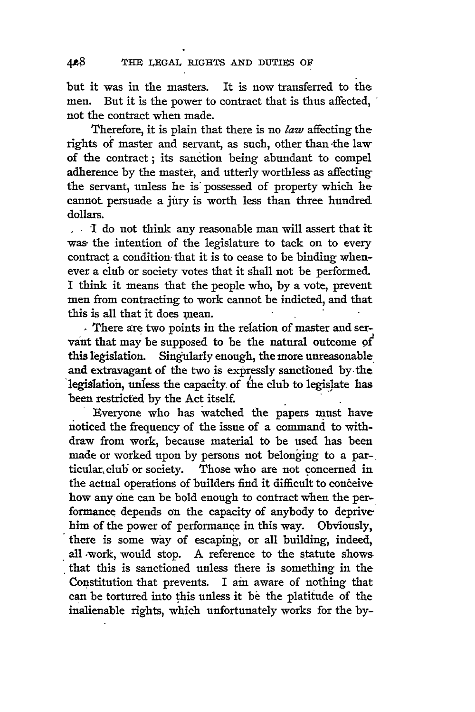but it was in the masters. It is now transferred to the men. But it is the power to contract that is thus affected, not the contract when made.

Therefore, it is plain that there is no *law* affecting the rights of master and servant, as such, other than -the law of the contract; its sanction being abundant to compel adherence by the master, and utterly worthless as affectingthe servant, unless he is possessed of property which he cannot persuade a jury is worth less than three hundred dollars.

I do not think any reasonable man will assert that it was the intention of the legislature to tack on to every contract a condition- that it is to cease to be binding whenever a club or society votes that it shall not be performed. I think it means that the people who, by a vote, prevent men from contracting to work cannot be indicted, and that this is all that it does mean.

**,** There agre two points in the relation of master and servant that may be supposed to be the natural outcome **of** this legislation. Singularly enough, the more unreasonable and extravagant of the two is expressly sanctioned by.the legislation, unless the capacity, of the club to legislate has been restricted by the Act itself.

Everyone who has watched the papers must have noticed the frequency of the issue of a command to withdraw from work, because material **to** be used has been made or worked upon by persons not belonging to a particular, club or society. Those who are not concerned in the actual operations of builders find it difficult to conceive how any one can be bold enough to contract when the performance depends an the capacity of anybody to deprive him of the power of performance in this way. Obviously, there is some way of escaping, or all building, indeed, all -work, would stop. **A** reference to the statute shows. that this is sanctioned unless there is something in the Constitution that prevents. I am aware of nothing that can be tortured into this unless it be the platitude of the inalienable rights, which unfortunately works for the by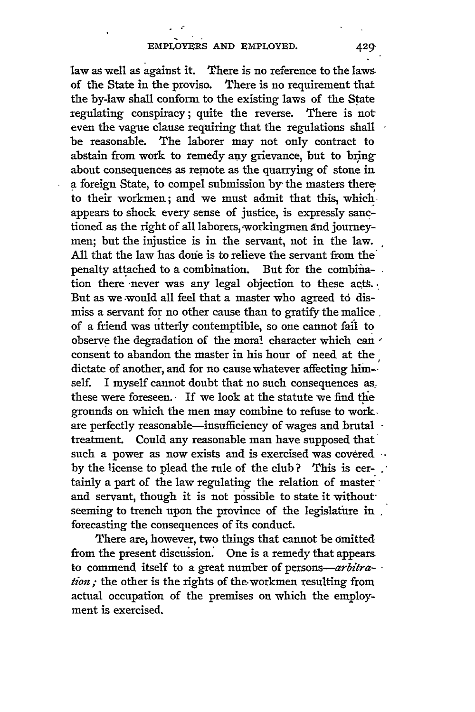law as well as against it. There is no reference to the laws, of the State in the proviso. There is no requirement that the by-law shall conform to the existing laws of the State regulating conspiracy; quite the reverse. There is not even the vague clause requiring that the regulations shall be reasonable. The laborer may not only contract to abstain from work to remedy any grievance, but to bringabout consequences as remote as the quarrying of stone in a foreigu State, to compel submission **by** the masters there to their workmen; and we must admit that this, which, appears to shock every sense of justice, is expressly sanctioned as the right of all laborers, workingmen and journeymen; but the injustice is in the servant, not in the law. All that the law has done is to relieve the servant from the penalty attached to a combination. But for the combination there never was any legal objection to these acts. But as we would all feel that a master who agreed to dismiss a servant for no other cause than to gratify the malice of a friend was utterly contemptible, so one cannot fail to observe the degradation of the moral character which can' consent to abandon the master in his hour of need at the dictate of another, and for no cause whatever affecting himself. I myself cannot doubt that no such consequences as. these were foreseen.- If we look at the statute we find the grounds on which the men may combine to refuse to work, are perfectly reasonable-insufficiency of wages and brutal . treatment. Could any reasonable man have supposed that' such a power as now exists and is exercised was covered . by the license to plead the rule of the club? This is certainly a part of the law regulating the relation of master and servant, though it is not possible to state it without seeming to trench upon the province of the legislature in forecasting the consequences of its conduct.

There are, however, two things that cannot be omitted from the present discussion. One is a remedy that appears to commend itself to a great number of persons--arbitra*tion;* the other is the rights of the.workmen resulting from actual occupation of the premises on which the employment is exercised.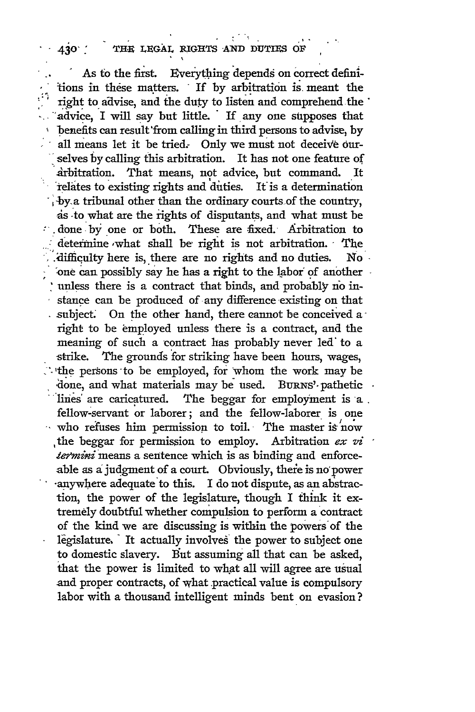As to the first. Everything depends on correct definitions in these matters. If by arbitration is, meant the right to advise, and the duty to listen and comprehend the -advice, I will say but little. **'** If any one supposes that benefits can result'from calling in third persons to advise, by all means let it be tried; Only we must not deceive ourselves by calling this arbitration. It has not one feature of arbitration. That means, not advice, but command. It relates to existing rights and duties. It is a determination  $\cdot$ , by a tribunal other than the ordinary courts of the country, as to what are the rights of disputants, and what must be  $\therefore$  done by one or both. These are fixed. Arbitration to determine what shall be right is not arbitration. The  $\ddot{a}$  difficulty here is, there are no rights and no duties. No  $\ddot{b}$ one can possibly say he has a right to the labor of another unless there is a contract that binds, and probably no instance can be produced of any difference existing on that subject. On the other hand, there cannot be conceived a right to be employed unless there is a contract, and the meaning of such a contract has probably never led' to a strike. The grounds for striking have been hours, wages, <br>the persons to be employed, for whom the work may be done, and what materials may be used. BURNS'-pathetic . lines' are caricatured. The beggar for employment is a fellow-servant or laborer; and the fellow-laborer is one  $\sim$  who refuses him permission to toil. The master is now ,the beggar for permission to employ. Arbitration *ex vi termini* means a sentence which is as binding and enforceable as a judgment of a court. Obviously, there is no power -anywhere adequate to this. I do not dispute, as an abstraction, the power of the legislature, though I think it extremely doubtful whether compulsion to perform a contract of the kind we are discussing is within the powers of the legislature. It actually involves the power to subject one to domestic slavery. But assuming all that can be asked, that the power is limited to what all will agree are usual and proper contracts, of what practical value is compulsory labor with a thousand intelligent minds bent on evasion?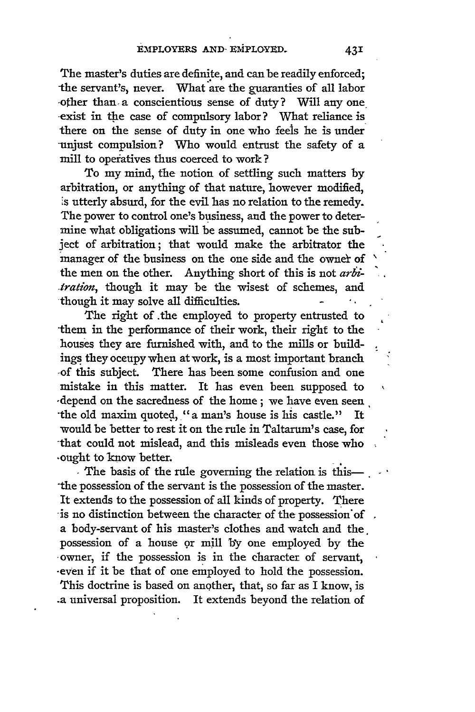The master's duties are definite, and can be readily enforced; -the servant's, never. What are the guaranties of all labor -other than a conscientious sense of duty? Will any one -exist in the case of compulsory labor? What reliance is there on the sense of duty in one who feels he is under unjust compulsion? Who would entrust the safety of a mill to operatives thus coerced to work?

To my mind, the notion of settling such matters by arbitration, or anything of that nature, however modified, is utterly absurd, for the evil has no relation to the remedy. The power to control one's business, and the power to determine what obligations will be assumed, cannot be the subject of arbitration; that would make the arbitrator the manager of the business on the one side and the owner of the men on the other. Anything short of this is not *arbi- .1ration,* though it may be the wisest of schemes, and though it may solve all difficulties.

The right of the employed to property entrusted to -them in the performance of their work, their right to the houses they are furnished with, and to the mills or buildings they oceupy when at work, is a most important branch -of this subject. There has been some confusion and one mistake in this matter. It has even been supposed to -depend on the sacredness of the home; we have even seen the old maxim quoted, "a man's house is his castle." It would be better to rest it on the rule in Taltarum's case, for -that could not mislead, and this misleads even those who -ought to know better.

**.** The basis of the rule governing the relation is this- -the possession of the servant is the possession of the master. It extends to the possession of all kinds of property. There -is no distinction between the character of the possession'of a body-servant of his master's clothes and watch and the. possession of a house or mill by one employed by the -owner, if the possession is in the character of servant, -even if it be that of one employed to hold the possession. This doctrine is based on another, that, so far as I know, is .a universal proposition. It extends beyond the relation of

 $\bar{\mathbf{r}}$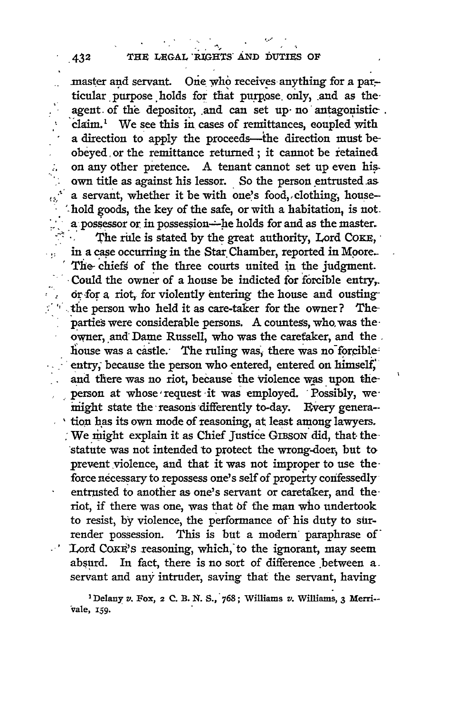#### 432 THE LEGAL RIGHTS AND DUTIES OF

master and servant. One who receives anything for a particular purpose holds for that purpose only, and as theagent of the depositor, and can set up no antagonistic. 'claim.' We see this in cases of remittances, eoupled with a direction to apply the proceeds-the direction must beobeyed, or the remittance returned ; it cannot be retained on any other pretence. A tenant cannot set up even his. own title as against his lessor. So the person entrusted as a servant, whether it be with one's food,,clothing, house- '.hold goods, the key of the safe, or with a habitation, is not. a possessor or in possession—he holds for and as the master.

The rule is stated by the great authority, Lord COKE, in a case occurring in the Star Chamber, reported in Moore. The chiefs of the three courts united in the judgment. Could the owner of a house be indicted for forcible entry,. or for a riot, for violently entering the house and ousting- $\mathbb{R}^n$  the person who held it as care-taker for the owner? The parties were considerable persons. A countess, who was theowner, and' Dame Russell, who was the carefaker, and the. house was a castle. The ruling was, there was no forcible: entry; because the person who entered, entered on himself, . and there was no riot, because the violence was upon theperson at whose request it was employed. Possibly, wemight state the reasons differently to-day. Every genera-- $\cdots$  tion has its own mode of reasoning, at least among lawyers. */* **We might explain it as Chief Justice GIBSON did, that the**statute was not intended to protect the wrong-doer, but to prevent violence, and that it was not improper to use theforce necessary to repossess one's self of property confessedly entrusted to another as one's servant or caretaker, and theriot, if there was one, was that **bf** the man who undertook to resist, by violence, the performance of his duty to sirrender possession. This is but a modem paraphrase of' Lord CokE's reasoning, which, to the ignorant, may seem absurd. In fact, there is no sort of difference between a. servant and any intruder, saving that the servant, having

Delany *v.* Fox, 2 **C. B. N. S., 768;** Williams *v.* Williams, 3 Merri- vale, *159.*

уđ.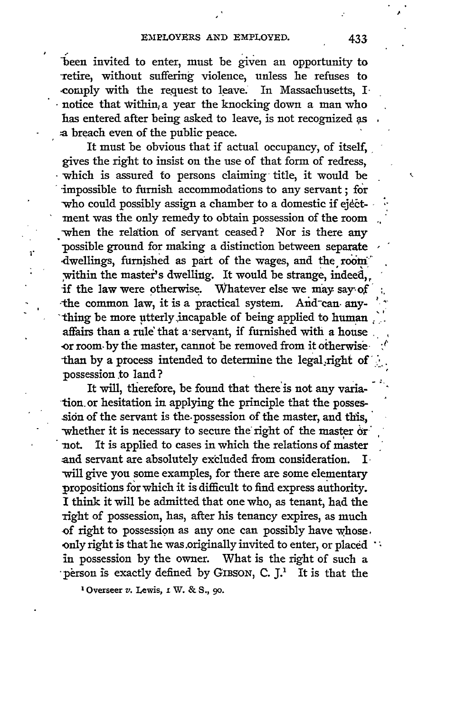been invited to enter, must be given an opportunity to retire, without suffering violence, unless he refuses to comply with the request to leave. In Massachusetts, I notice that within, a year the knocking down a man who has entered after being asked to leave, is not recognized as a breach even of the public peace.

It must be obvious that if actual occupancy, of itself, gives the right to insist on the use of that form of redress, which is assured to persons claiming title, it would be impossible to furnish accommodations to any servant; for who could possibly assign a chamber to a domestic if ejectment was the only remedy to obtain possession of the room when the relation of servant ceased? Nor is there any -possible ground for making a distinction between separate *.* dwellings, furnished as part of the wages, and the room" within the master's dwelling. It would be strange, indeed, if the law were otherwise. Whatever else we may say.of' -the common law, it is a practical system. Aid-can any thing be more utterly incapable of being applied to human. affairs than a rule that a servant, if furnished with a house -or room. by the master, cannot be removed from it otherwise than by a process intended to determine the legal right of possession to land?

It will, therefore, be found that there is not any varia- -tion.or hesitation in applying the principle that the possession of the servant is the possession of the master, and this, whether it is necessary to secure the right of the master  $\overrightarrow{\text{or}}$ . -not. It is applied to cases in which the relations of master and servant are absolutely excluded from consideration. I will give you some examples, for there are some elementary propositions for which it is difficult to find express authority. I think it will be admitted that one who, as tenant, had the right of possession, has, after his tenancy expires, as much of right to possession as any one can possibly have whose, only right is that he was originally invited to enter, or placed  $\cdot$ in possession by the owner. What is the right of such a person is exactly defined by GIBSON, C. J.<sup>1</sup> It is that the

**'** Overseer *v.* Lewis, **E W. & S.,** go.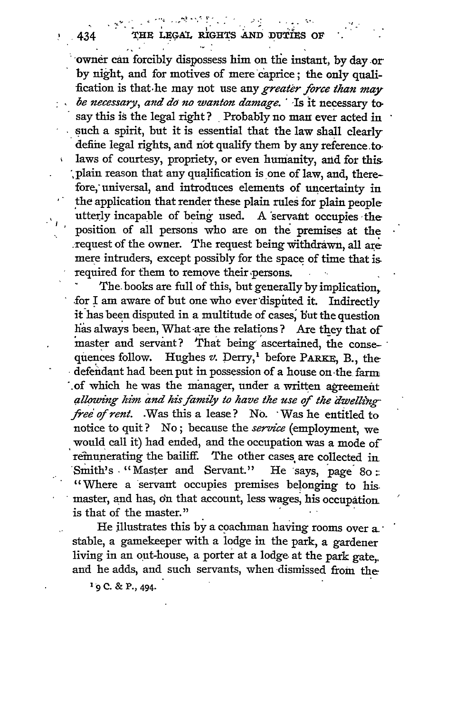owner can forcibly dispossess him on the instant, by day or **by** night, and for motives of mere caprice; the only qualification is that.he may not use any *greater force than may be necessary, and doi no wanton damage.* Is it necessary to. say this is the legal right? Probably no man ever acted in such a spirit, but it is essential that the law shall clearly define legal rights, and not qualify them by any reference.tolaws of courtesy, propriety, or even humanity, and for this ,plain reason that any qualification is one of law, and, therefore, universal, and introduces elements of uncertainty in the application that render these plain rules for plain people utterly incapable of being used. A servant occupies the position of all persons who are on the premises at the request of the owner. The request being withdrawn, all are mere intruders, except possibly for the space of time that is required for them to remove their persons.

The. books are full of this, but generally by implication, for I am aware of but one who ever disputed it. Indirectly it has been disputed in a multitude of cases, but the question has always been, What are the relations? Are they that of master and servant? That being ascertained, the consequences follow. Hughes *v*. Derry,<sup>1</sup> before PARKE, B., the defendant had been put in possession of a house on the farm . of which he was the manager, under a written agreement *allwing him and his family to have the use of the dwelin'gfree of rent.* Was this a lease? No. `Was he entitled to notice to quit? No; because the *service* (employment, we would call it) had ended, and the occupation was a mode of remunerating the bailiff. The other cases are collected in. Smith's "Master and Servant." He says, page 80: "Where a servant occupies premises belonging to his. master, and has, on that account, less wages, his occupation. is that of the master."

He illustrates this by a coachman having rooms over a. stable, a gamekeeper with a lodge in the park, a gardener living in an out-house, a porter at a lodge at the park gate, and he adds, and such servants, when dismissed from the

**" 9 C. & P., 494.**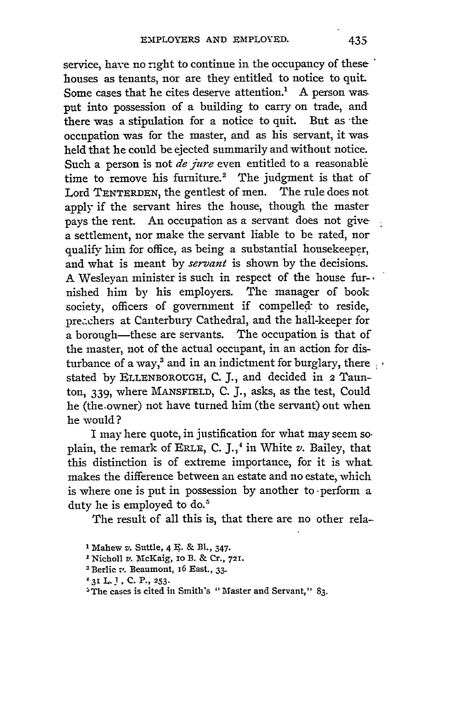service, have no right to continue in the occupancy of these ' houses as tenants, nor are they entitled to notice to quit. Some cases that he cites deserve attention.' A person was put into possession of a building to carry on trade, and there was a stipulation for a notice to quit. But as the occupation was for the master, and as his servant, it was held that he could be ejected summarily and without notice. Such a person is not *de jure* even entitled to a reasonable time to remove his furniture.<sup>2</sup> The judgment is that of Lord **TENTERDEN,** the gentlest of men. The rule does not apply if the servant hires the house, though the master pays the rent. An occupation as a servant does not give a settlement, nor make the servant liable to be rated, nor qualify him for office, as being a substantial housekeeper, and what is meant by *servant* is shown by the decisions. A Wesleyan minister is such in respect of the house fur-. nished him by his employers. The manager of book society, officers of government if compelled to reside, pre.chers at Canterbury Cathedral, and the hall-keeper for a borough—these are servants. The occupation is that of the master, not of the actual occupant, in an action for disturbance of a way,<sup>3</sup> and in an indictment for burglary, there stated by ELLENBOROUGH, C. J., and decided in 2 Taunton, 339, where MANSFIELD, C. J., asks, as the test, Could he (the.owner) not have turned him (the servant) out when he would?

I may here quote, in justification for what may seem so. plain, the remark of ERLE, C. J. **,** in White *v.* Bailey, that this distinction is of extreme importance, for it is what makes the difference between an estate and no estate, which is where one is put in possession by another to -perform a duty he is employed to do.'

The result of all this is, that there are no other rela-

- **3** Berlic *v.* Beaumont, **i6** East., **33.**
- **43r L.J** *,* **C. P., 253.**

**I Mahew v. Suttle,** 4 **9. & Bl.,** 347. **2** Nicholl *v.* **McKaig,** lo **B. & Cr.,** 72r.

<sup>&</sup>lt;sup>3</sup> The cases is cited in Smith's "Master and Servant," 83.